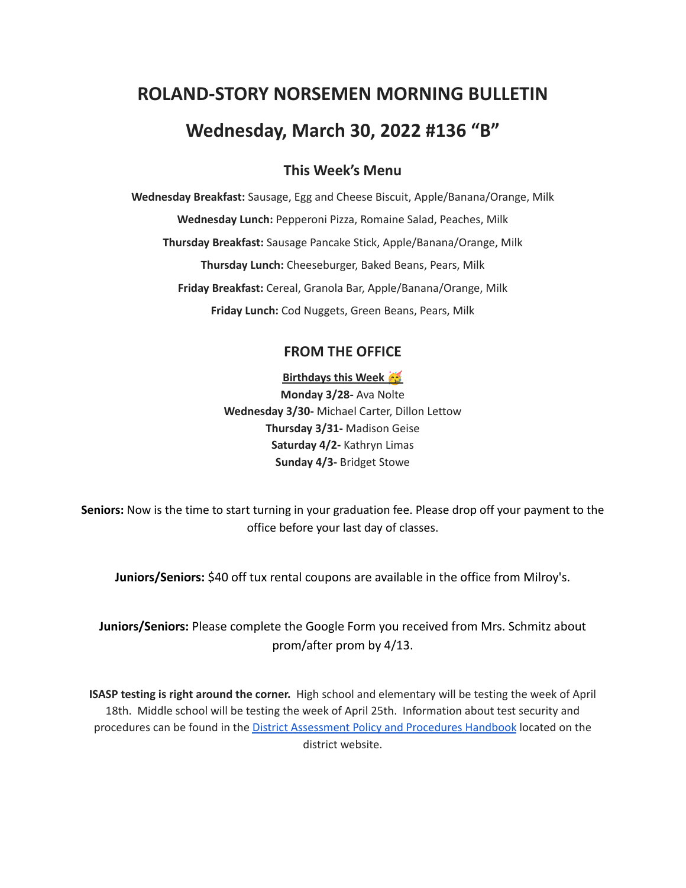# **ROLAND-STORY NORSEMEN MORNING BULLETIN Wednesday, March 30, 2022 #136 "B"**

# **This Week's Menu**

**Wednesday Breakfast:** Sausage, Egg and Cheese Biscuit, Apple/Banana/Orange, Milk **Wednesday Lunch:** Pepperoni Pizza, Romaine Salad, Peaches, Milk **Thursday Breakfast:** Sausage Pancake Stick, Apple/Banana/Orange, Milk **Thursday Lunch:** Cheeseburger, Baked Beans, Pears, Milk **Friday Breakfast:** Cereal, Granola Bar, Apple/Banana/Orange, Milk **Friday Lunch:** Cod Nuggets, Green Beans, Pears, Milk

# **FROM THE OFFICE**

**Birthdays this Week Monday 3/28-** Ava Nolte **Wednesday 3/30-** Michael Carter, Dillon Lettow **Thursday 3/31-** Madison Geise **Saturday 4/2-** Kathryn Limas **Sunday 4/3-** Bridget Stowe

**Seniors:** Now is the time to start turning in your graduation fee. Please drop off your payment to the office before your last day of classes.

**Juniors/Seniors:** \$40 off tux rental coupons are available in the office from Milroy's.

**Juniors/Seniors:** Please complete the Google Form you received from Mrs. Schmitz about prom/after prom by 4/13.

**ISASP testing is right around the corner.** High school and elementary will be testing the week of April 18th. Middle school will be testing the week of April 25th. Information about test security and procedures can be found in the **District [Assessment](https://rolandstory.school/media/Michelle%20Soderstrum/RSCSD_District_Assessment_Poli%20-%20Copy%203.pdf) Policy and Procedures Handbook** located on the district website.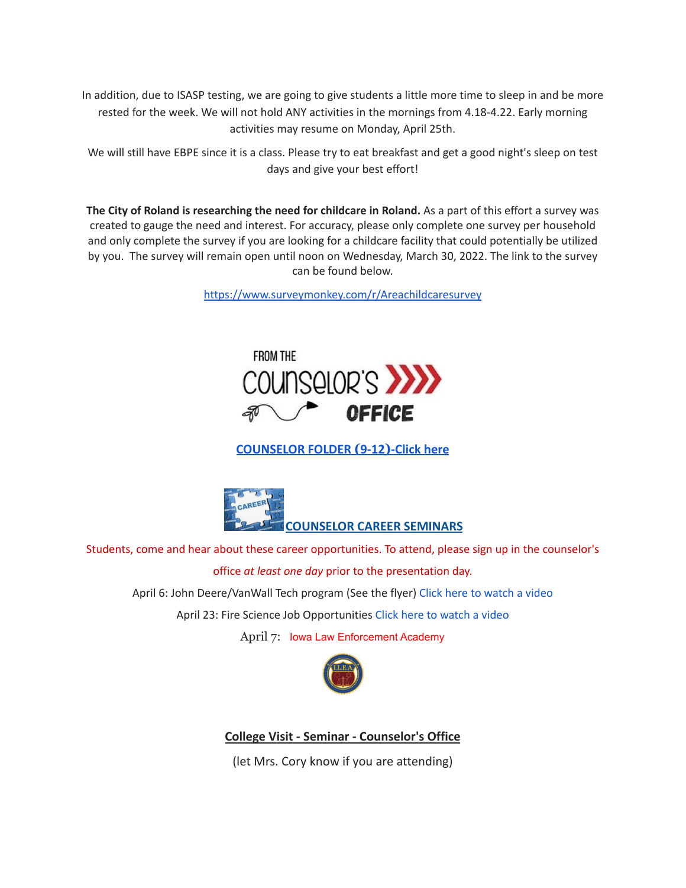In addition, due to ISASP testing, we are going to give students a little more time to sleep in and be more rested for the week. We will not hold ANY activities in the mornings from 4.18-4.22. Early morning activities may resume on Monday, April 25th.

We will still have EBPE since it is a class. Please try to eat breakfast and get a good night's sleep on test days and give your best effort!

**The City of Roland is researching the need for childcare in Roland.** As a part of this effort a survey was created to gauge the need and interest. For accuracy, please only complete one survey per household and only complete the survey if you are looking for a childcare facility that could potentially be utilized by you. The survey will remain open until noon on Wednesday, March 30, 2022. The link to the survey can be found below.

<https://www.surveymonkey.com/r/Areachildcaresurvey>



# **[COUNSELOR FOLDER](https://docs.google.com/document/d/1vmwczNPbDzXe9vFaG5LJMQ7NYDv-i4oQJHybqA65TUc/edit?usp=sharing) (9-12)-Click here**



Students, come and hear about these career opportunities. To attend, please sign up in the counselor's office *at least one day* prior to the presentation day. April 6: John Deere/VanWall Tech program (See the flyer) Click here to [watch](https://www.youtube.com/watch?v=h0zPXGK_n_c) a video April 23: Fire Science Job Opportunities Click here to [watch](https://www.youtube.com/watch?v=xBXR6h_2eWg) a video April 7: Iowa Law Enforcement Academy



**College Visit - Seminar - Counselor's Office**

(let Mrs. Cory know if you are attending)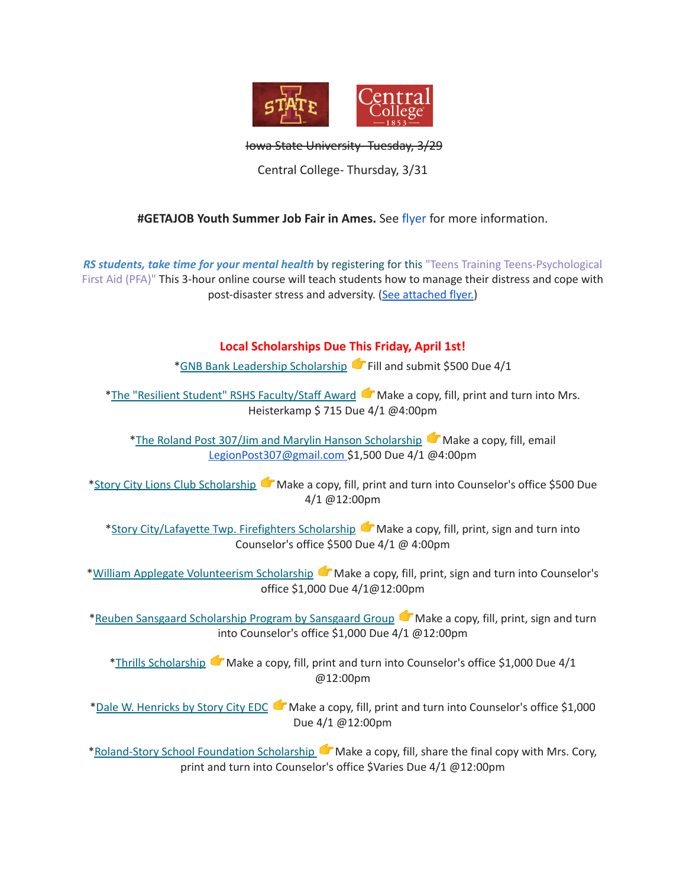

Iowa State University- Tuesday, 3/29

Central College- Thursday, 3/31

#### **#GETAJOB Youth Summer Job Fair in Ames.** See [flyer](https://drive.google.com/file/d/19PRxPHgJE0Wyssa45Q2YrSued6K3SDaH/view?usp=sharing) for more information.

*RS students, take time for your mental health* by registering for this "Teens Training Teens-Psychological First Aid (PFA)" This 3-hour online course will teach students how to manage their distress and cope with post-disaster stress and adversity. (See [attached](https://drive.google.com/file/d/18ZxsDgb9mTVccDP5AD1ejwqoEi1MNUwE/view?usp=sharing) flyer.)

#### **Local Scholarships Due This Friday, April 1st!**

\*GNB Bank Leadership [Scholarship](https://www.gnbbank.com/resources/story-city-leadership-scholarship) <sup>+</sup>Fill and submit \$500 Due 4/1

\*The "Resilient Student" RSHS [Faculty/Staff](https://docs.google.com/document/d/1DolWUUWkhc9uRV9cDZrlwnYTIr44UcPiFxY4Xkupsj0/edit?usp=sharing) Award  $\bullet$  Make a copy, fill, print and turn into Mrs. Heisterkamp \$ 715 Due 4/1 @4:00pm

\*The Roland Post 307/Jim and Marylin Hanson [Scholarship](https://docs.google.com/document/d/1hGUuBTFqrA-IeXjmN94zoUkQR-ErMDrUDyJX0Yc3fx0/edit?usp=sharing)  $\blacksquare$  Make a copy, fill, email LegionPost307@gmail.com \$1,500 Due 4/1 @4:00pm

\*Story City Lions Club [Scholarship](https://docs.google.com/document/d/1z7ucMbK4WEvvNb9NVBe3FD28h53iTSawX8qWUl0m6oA/edit?usp=sharing) Make a copy, fill, print and turn into Counselor's office \$500 Due 4/1 @12:00pm

\*Story [City/Lafayette](https://docs.google.com/document/d/1DRZOK0yQEV5eI7SDx7LBRARU3wUClkRxSl4DFl1TSOU/edit?usp=sharing) Twp. Firefighters Scholarship Make a copy, fill, print, sign and turn into Counselor's office \$500 Due 4/1 @ 4:00pm

\*William Applegate [Volunteerism](https://docs.google.com/document/d/1w4rNFOTwAFqpjEvS-51FwYbhvd6fQvigs1578zBW-tw/edit?usp=sharing) Scholarship Make a copy, fill, print, sign and turn into Counselor's office \$1,000 Due 4/1@12:00pm

\*Reuben Sansgaard [Scholarship](https://docs.google.com/document/d/1LR2RwFYr7AG3FUyGWVx12ymv-TE93qQbHet9jzHKVyU/edit?usp=sharing) Program by Sansgaard Group Make a copy, fill, print, sign and turn into Counselor's office \$1,000 Due 4/1 @12:00pm

\*Thrills [Scholarship](https://docs.google.com/document/d/1QJta3C5yzfZrCdazRN4EIHX3l1EGl8av38jpxH3JqyU/edit?usp=sharing) Make a copy, fill, print and turn into Counselor's office \$1,000 Due 4/1 @12:00pm

\*Dale W. [Henricks](https://docs.google.com/document/d/1QlRIHdvRzmxNbdfucF4hyEJ2MzvAer_LqN1C1bAIIOk/edit?usp=sharing) by Story City EDC Make a copy, fill, print and turn into Counselor's office \$1,000 Due 4/1 @12:00pm

[\\*Roland-Story](https://docs.google.com/document/d/1L-tgrmtRhI17mbAynBf7wRqcn4feF0ftZ4YQ7eolHUI/edit) School Foundation Scholarship Make a copy, fill, share the final copy with Mrs. Cory, print and turn into Counselor's office \$Varies Due 4/1 @12:00pm